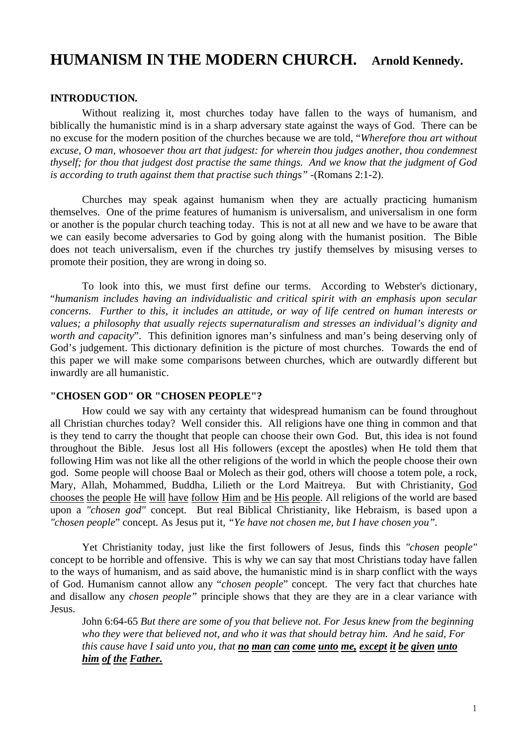# **HUMANISM IN THE MODERN CHURCH. Arnold Kennedy.**

## **INTRODUCTION***.*

 Without realizing it, most churches today have fallen to the ways of humanism, and biblically the humanistic mind is in a sharp adversary state against the ways of God. There can be no excuse for the modern position of the churches because we are told, "*Wherefore thou art without excuse, O man, whosoever thou art that judgest: for wherein thou judges another, thou condemnest thyself; for thou that judgest dost practise the same things. And we know that the judgment of God is according to truth against them that practise such things"* -(Romans 2:1-2).

 Churches may speak against humanism when they are actually practicing humanism themselves. One of the prime features of humanism is universalism, and universalism in one form or another is the popular church teaching today. This is not at all new and we have to be aware that we can easily become adversaries to God by going along with the humanist position. The Bible does not teach universalism, even if the churches try justify themselves by misusing verses to promote their position, they are wrong in doing so.

 To look into this, we must first define our terms. According to Webster's dictionary, "*humanism includes having an individualistic and critical spirit with an emphasis upon secular concerns. Further to this, it includes an attitude, or way of life centred on human interests or values; a philosophy that usually rejects supernaturalism and stresses an individual's dignity and worth and capacity*". This definition ignores man's sinfulness and man's being deserving only of God's judgement. This dictionary definition is the picture of most churches. Towards the end of this paper we will make some comparisons between churches, which are outwardly different but inwardly are all humanistic.

## **"CHOSEN GOD" OR "CHOSEN PEOPLE"?**

 How could we say with any certainty that widespread humanism can be found throughout all Christian churches today? Well consider this. All religions have one thing in common and that is they tend to carry the thought that people can choose their own God. But, this idea is not found throughout the Bible. Jesus lost all His followers (except the apostles) when He told them that following Him was not like all the other religions of the world in which the people choose their own god. Some people will choose Baal or Molech as their god, others will choose a totem pole, a rock, Mary, Allah, Mohammed, Buddha, Lilieth or the Lord Maitreya. But with Christianity, God chooses the people He will have follow Him and be His people. All religions of the world are based upon a *"chosen god"* concept. But real Biblical Christianity, like Hebraism, is based upon a *"chosen people*" concept*.* As Jesus put it*, "Ye have not chosen me, but I have chosen you".* 

Yet Christianity today, just like the first followers of Jesus, finds this *"chosen* peo*ple"*  concept to be horrible and offensive. This is why we can say that most Christians today have fallen to the ways of humanism, and as said above, the humanistic mind is in sharp conflict with the ways of God. Humanism cannot allow any "*chosen people*" concept. The very fact that churches hate and disallow any *chosen people"* principle shows that they are they are in a clear variance with Jesus.

John 6:64-65 *But there are some of you that believe not. For Jesus knew from the beginning who they were that believed not, and who it was that should betray him. And he said, For this cause have I said unto you, that no man can come unto me, except it be given unto him of the Father.*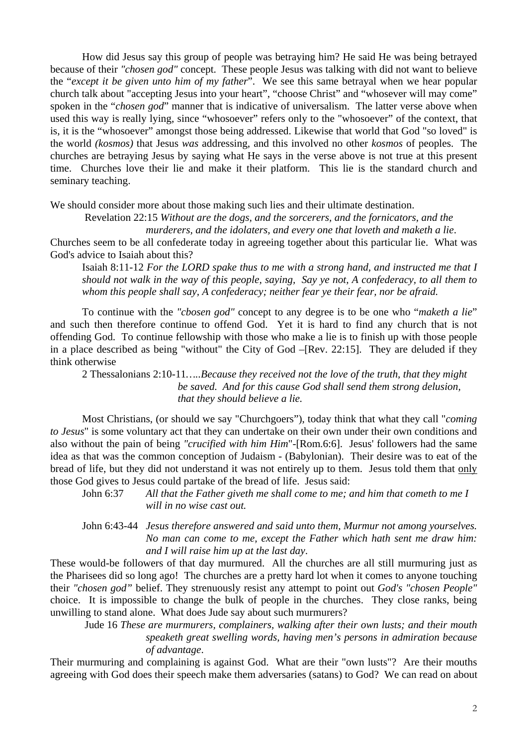How did Jesus say this group of people was betraying him? He said He was being betrayed because of their *"chosen god"* concept.These people Jesus was talking with did not want to believe the "*except it be given unto him of my father*". We see this same betrayal when we hear popular church talk about "accepting Jesus into your heart", "choose Christ" and "whosever will may come" spoken in the "*chosen god*" manner that is indicative of universalism. The latter verse above when used this way is really lying, since "whosoever" refers only to the "whosoever" of the context, that is, it is the "whosoever" amongst those being addressed. Likewise that world that God "so loved" is the world *(kosmos)* that Jesus *was* addressing, and this involved no other *kosmos* of peoples. The churches are betraying Jesus by saying what He says in the verse above is not true at this present time. Churches love their lie and make it their platform. This lie is the standard church and seminary teaching.

We should consider more about those making such lies and their ultimate destination.

Revelation 22:15 *Without are the dogs, and the sorcerers, and the fornicators, and the* 

*murderers, and the idolaters, and every one that loveth and maketh a lie*.

Churches seem to be all confederate today in agreeing together about this particular lie. What was God's advice to Isaiah about this?

Isaiah 8:11-12 *For the LORD spake thus to me with a strong hand, and instructed me that I should not walk in the way of this people, saying, Say ye not, A confederacy, to all them to whom this people shall say, A confederacy; neither fear ye their fear, nor be afraid.*

 To continue with the *"cbosen god"* concept to any degree is to be one who "*maketh a lie*" and such then therefore continue to offend God. Yet it is hard to find any church that is not offending God. To continue fellowship with those who make a lie is to finish up with those people in a place described as being "without" the City of God –[Rev. 22:15]. They are deluded if they think otherwise

2 Thessalonians 2:10-11*…..Because they received not the love of the truth, that they might be saved. And for this cause God shall send them strong delusion, that they should believe a lie.* 

 Most Christians, (or should we say "Churchgoers"), today think that what they call "*coming to Jesus*" is some voluntary act that they can undertake on their own under their own conditions and also without the pain of being *"crucified with him Him*"-[Rom.6:6].Jesus' followers had the same idea as that was the common conception of Judaism - (Babylonian). Their desire was to eat of the bread of life, but they did not understand it was not entirely up to them. Jesus told them that only those God gives to Jesus could partake of the bread of life. Jesus said:

- John 6:37 *All that the Father giveth me shall come to me; and him that cometh to me I will in no wise cast out.*
- John 6:43-44 *Jesus therefore answered and said unto them, Murmur not among yourselves. No man can come to me, except the Father which hath sent me draw him: and I will raise him up at the last day*.

These would-be followers of that day murmured. All the churches are all still murmuring just as the Pharisees did so long ago! The churches are a pretty hard lot when it comes to anyone touching their *"chosen god"* belief. They strenuously resist any attempt to point out *God's "chosen People"*  choice. It is impossible to change the bulk of people in the churches. They close ranks, being unwilling to stand alone. What does Jude say about such murmurers?

 Jude 16 *These are murmurers, complainers, walking after their own lusts; and their mouth speaketh great swelling words, having men's persons in admiration because of advantage*.

Their murmuring and complaining is against God. What are their "own lusts"? Are their mouths agreeing with God does their speech make them adversaries (satans) to God? We can read on about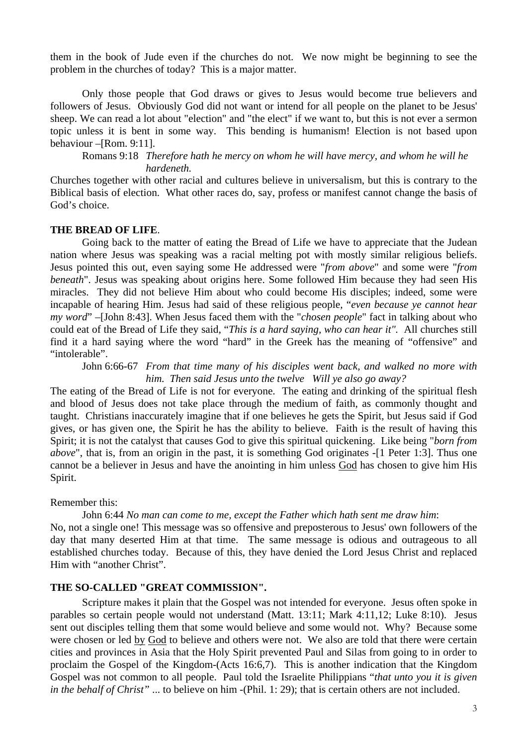them in the book of Jude even if the churches do not. We now might be beginning to see the problem in the churches of today? This is a major matter.

 Only those people that God draws or gives to Jesus would become true believers and followers of Jesus. Obviously God did not want or intend for all people on the planet to be Jesus' sheep. We can read a lot about "election" and "the elect" if we want to, but this is not ever a sermon topic unless it is bent in some way. This bending is humanism! Election is not based upon behaviour –[Rom. 9:11].

Romans 9:18 *Therefore hath he mercy on whom he will have mercy, and whom he will he hardeneth.* 

Churches together with other racial and cultures believe in universalism, but this is contrary to the Biblical basis of election. What other races do, say, profess or manifest cannot change the basis of God's choice.

## **THE BREAD OF LIFE**.

 Going back to the matter of eating the Bread of Life we have to appreciate that the Judean nation where Jesus was speaking was a racial melting pot with mostly similar religious beliefs. Jesus pointed this out, even saying some He addressed were "*from above*" and some were "*from beneath*". Jesus was speaking about origins here. Some followed Him because they had seen His miracles. They did not believe Him about who could become His disciples; indeed, some were incapable of hearing Him. Jesus had said of these religious people, "*even because ye cannot hear my word*" –[John 8:43]. When Jesus faced them with the "*chosen people*" fact in talking about who could eat of the Bread of Life they said, "*This is a hard saying, who can hear it".* All churches still find it a hard saying where the word "hard" in the Greek has the meaning of "offensive" and "intolerable".

 John 6:66-67 *From that time many of his disciples went back, and walked no more with him. Then said Jesus unto the twelve Will ye also go away?* 

The eating of the Bread of Life is not for everyone. The eating and drinking of the spiritual flesh and blood of Jesus does not take place through the medium of faith, as commonly thought and taught. Christians inaccurately imagine that if one believes he gets the Spirit, but Jesus said if God gives, or has given one, the Spirit he has the ability to believe. Faith is the result of having this Spirit; it is not the catalyst that causes God to give this spiritual quickening. Like being "*born from above*", that is, from an origin in the past, it is something God originates -[1 Peter 1:3]. Thus one cannot be a believer in Jesus and have the anointing in him unless God has chosen to give him His Spirit.

Remember this:

John 6:44 *No man can come to me, except the Father which hath sent me draw him*:

No, not a single one! This message was so offensive and preposterous to Jesus' own followers of the day that many deserted Him at that time. The same message is odious and outrageous to all established churches today. Because of this, they have denied the Lord Jesus Christ and replaced Him with "another Christ".

## **THE SO-CALLED "GREAT COMMISSION".**

 Scripture makes it plain that the Gospel was not intended for everyone. Jesus often spoke in parables so certain people would not understand (Matt. 13:11; Mark 4:11,12; Luke 8:10). Jesus sent out disciples telling them that some would believe and some would not. Why? Because some were chosen or led by God to believe and others were not. We also are told that there were certain cities and provinces in Asia that the Holy Spirit prevented Paul and Silas from going to in order to proclaim the Gospel of the Kingdom-(Acts 16:6,7). This is another indication that the Kingdom Gospel was not common to all people. Paul told the Israelite Philippians "*that unto you it is given in the behalf of Christ"* ... to believe on him -(Phil. 1: 29); that is certain others are not included.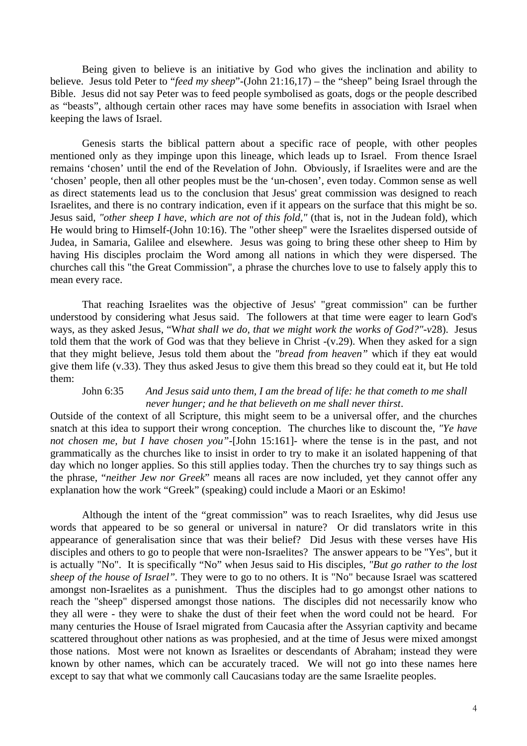Being given to believe is an initiative by God who gives the inclination and ability to believe. Jesus told Peter to "*feed my sheep*"-(John 21:16,17) – the "sheep" being Israel through the Bible. Jesus did not say Peter was to feed people symbolised as goats, dogs or the people described as "beasts", although certain other races may have some benefits in association with Israel when keeping the laws of Israel.

 Genesis starts the biblical pattern about a specific race of people, with other peoples mentioned only as they impinge upon this lineage, which leads up to Israel. From thence Israel remains 'chosen' until the end of the Revelation of John. Obviously, if Israelites were and are the 'chosen' people, then all other peoples must be the 'un-chosen', even today. Common sense as well as direct statements lead us to the conclusion that Jesus' great commission was designed to reach Israelites, and there is no contrary indication, even if it appears on the surface that this might be so. Jesus said, *"other sheep I have, which are not of this fold,"* (that is, not in the Judean fold), which He would bring to Himself-(John 10:16). The "other sheep" were the Israelites dispersed outside of Judea, in Samaria, Galilee and elsewhere. Jesus was going to bring these other sheep to Him by having His disciples proclaim the Word among all nations in which they were dispersed. The churches call this "the Great Commission", a phrase the churches love to use to falsely apply this to mean every race.

 That reaching Israelites was the objective of Jesus' "great commission" can be further understood by considering what Jesus said. The followers at that time were eager to learn God's ways, as they asked Jesus, "W*hat shall we do, that we might work the works of God?"-v*28). Jesus told them that the work of God was that they believe in Christ -(v.29). When they asked for a sign that they might believe, Jesus told them about the *"bread from heaven"* which if they eat would give them life (v.33). They thus asked Jesus to give them this bread so they could eat it, but He told them:

#### John 6:35 *And Jesus said unto them, I am the bread of life: he that cometh to me shall never hunger; and he that believeth on me shall never thirst*.

Outside of the context of all Scripture, this might seem to be a universal offer, and the churches snatch at this idea to support their wrong conception. The churches like to discount the, *"Ye have not chosen me, but I have chosen you"-*[John 15:161]- where the tense is in the past, and not grammatically as the churches like to insist in order to try to make it an isolated happening of that day which no longer applies. So this still applies today. Then the churches try to say things such as the phrase, "*neither Jew nor Greek*" means all races are now included, yet they cannot offer any explanation how the work "Greek" (speaking) could include a Maori or an Eskimo!

 Although the intent of the "great commission" was to reach Israelites, why did Jesus use words that appeared to be so general or universal in nature? Or did translators write in this appearance of generalisation since that was their belief? Did Jesus with these verses have His disciples and others to go to people that were non-Israelites? The answer appears to be "Yes", but it is actually "No". It is specifically "No" when Jesus said to His disciples, *"But go rather to the lost sheep of the house of Israel".* They were to go to no others. It is "No" because Israel was scattered amongst non-Israelites as a punishment. Thus the disciples had to go amongst other nations to reach the "sheep" dispersed amongst those nations. The disciples did not necessarily know who they all were - they were to shake the dust of their feet when the word could not be heard. For many centuries the House of Israel migrated from Caucasia after the Assyrian captivity and became scattered throughout other nations as was prophesied, and at the time of Jesus were mixed amongst those nations. Most were not known as Israelites or descendants of Abraham; instead they were known by other names, which can be accurately traced. We will not go into these names here except to say that what we commonly call Caucasians today are the same Israelite peoples.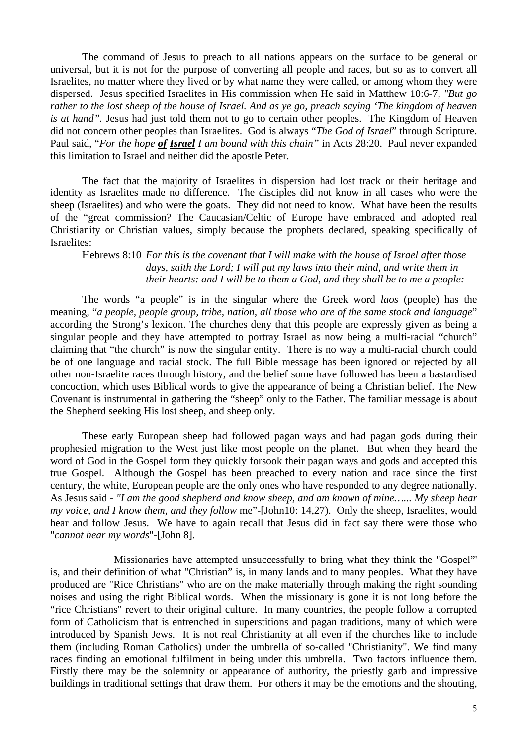The command of Jesus to preach to all nations appears on the surface to be general or universal, but it is not for the purpose of converting all people and races, but so as to convert all Israelites, no matter where they lived or by what name they were called, or among whom they were dispersed. Jesus specified Israelites in His commission when He said in Matthew 10:6-7, *"But go rather to the lost sheep of the house of Israel. And as ye go, preach saying 'The kingdom of heaven is at hand".* Jesus had just told them not to go to certain other peoples. The Kingdom of Heaven did not concern other peoples than Israelites. God is always "*The God of Israel*" through Scripture. Paul said, "*For the hope of Israel I am bound with this chain"* in Acts 28:20. Paul never expanded this limitation to Israel and neither did the apostle Peter.

 The fact that the majority of Israelites in dispersion had lost track or their heritage and identity as Israelites made no difference. The disciples did not know in all cases who were the sheep (Israelites) and who were the goats. They did not need to know. What have been the results of the "great commission? The Caucasian/Celtic of Europe have embraced and adopted real Christianity or Christian values, simply because the prophets declared, speaking specifically of Israelites:

Hebrews 8:10 *For this is the covenant that I will make with the house of Israel after those days, saith the Lord; I will put my laws into their mind, and write them in their hearts: and I will be to them a God, and they shall be to me a people:* 

 The words "a people" is in the singular where the Greek word *laos* (people) has the meaning, "*a people, people group, tribe, nation, all those who are of the same stock and language*" according the Strong's lexicon. The churches deny that this people are expressly given as being a singular people and they have attempted to portray Israel as now being a multi-racial "church" claiming that "the church" is now the singular entity. There is no way a multi-racial church could be of one language and racial stock. The full Bible message has been ignored or rejected by all other non-Israelite races through history, and the belief some have followed has been a bastardised concoction, which uses Biblical words to give the appearance of being a Christian belief. The New Covenant is instrumental in gathering the "sheep" only to the Father. The familiar message is about the Shepherd seeking His lost sheep, and sheep only.

 These early European sheep had followed pagan ways and had pagan gods during their prophesied migration to the West just like most people on the planet. But when they heard the word of God in the Gospel form they quickly forsook their pagan ways and gods and accepted this true Gospel. Although the Gospel has been preached to every nation and race since the first century, the white, European people are the only ones who have responded to any degree nationally. As Jesus said - *"I am the good shepherd and know sheep, and am known of mine…... My sheep hear my voice, and I know them, and they follow* me"-[John10: 14,27). Only the sheep, Israelites, would hear and follow Jesus. We have to again recall that Jesus did in fact say there were those who "*cannot hear my words*"-[John 8].

 Missionaries have attempted unsuccessfully to bring what they think the "Gospel"' is, and their definition of what "Christian" is, in many lands and to many peoples. What they have produced are "Rice Christians" who are on the make materially through making the right sounding noises and using the right Biblical words. When the missionary is gone it is not long before the "rice Christians" revert to their original culture. In many countries, the people follow a corrupted form of Catholicism that is entrenched in superstitions and pagan traditions, many of which were introduced by Spanish Jews. It is not real Christianity at all even if the churches like to include them (including Roman Catholics) under the umbrella of so-called "Christianity". We find many races finding an emotional fulfilment in being under this umbrella. Two factors influence them. Firstly there may be the solemnity or appearance of authority, the priestly garb and impressive buildings in traditional settings that draw them. For others it may be the emotions and the shouting,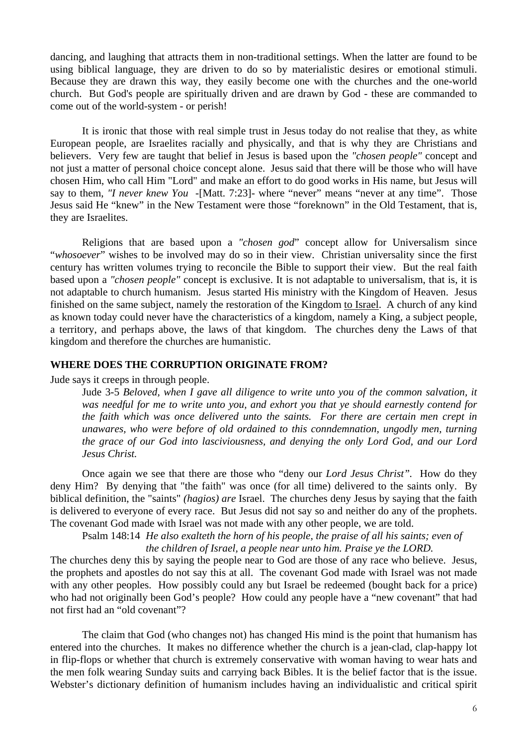dancing, and laughing that attracts them in non-traditional settings. When the latter are found to be using biblical language, they are driven to do so by materialistic desires or emotional stimuli. Because they are drawn this way, they easily become one with the churches and the one-world church. But God's people are spiritually driven and are drawn by God - these are commanded to come out of the world-system - or perish!

 It is ironic that those with real simple trust in Jesus today do not realise that they, as white European people, are Israelites racially and physically, and that is why they are Christians and believers. Very few are taught that belief in Jesus is based upon the *"chosen people"* concept and not just a matter of personal choice concept alone. Jesus said that there will be those who will have chosen Him, who call Him "Lord" and make an effort to do good works in His name, but Jesus will say to them, *"I never knew You* -[Matt. 7:23]- where "never" means "never at any time". Those Jesus said He "knew" in the New Testament were those "foreknown" in the Old Testament, that is, they are Israelites.

 Religions that are based upon a *"chosen god*" concept allow for Universalism since "*whosoever*" wishes to be involved may do so in their view. Christian universality since the first century has written volumes trying to reconcile the Bible to support their view. But the real faith based upon a *"chosen people"* concept is exclusive. It is not adaptable to universalism, that is, it is not adaptable to church humanism. Jesus started His ministry with the Kingdom of Heaven. Jesus finished on the same subject, namely the restoration of the Kingdom to Israel. A church of any kind as known today could never have the characteristics of a kingdom, namely a King, a subject people, a territory, and perhaps above, the laws of that kingdom. The churches deny the Laws of that kingdom and therefore the churches are humanistic.

## **WHERE DOES THE CORRUPTION ORIGINATE FROM?**

Jude says it creeps in through people.

Jude 3-5 *Beloved, when I gave all diligence to write unto you of the common salvation, it was needful for me to write unto you, and exhort you that ye should earnestly contend for the faith which was once delivered unto the saints. For there are certain men crept in unawares, who were before of old ordained to this conndemnation, ungodly men, turning the grace of our God into lasciviousness, and denying the only Lord God, and our Lord Jesus Christ.* 

 Once again we see that there are those who "deny our *Lord Jesus Christ".* How do they deny Him? By denying that "the faith" was once (for all time) delivered to the saints only. By biblical definition, the "saints" *(hagios) are* Israel. The churches deny Jesus by saying that the faith is delivered to everyone of every race. But Jesus did not say so and neither do any of the prophets. The covenant God made with Israel was not made with any other people, we are told.

Psalm 148:14 *He also exalteth the horn of his people, the praise of all his saints; even of the children of Israel, a people near unto him. Praise ye the LORD.* 

The churches deny this by saying the people near to God are those of any race who believe. Jesus, the prophets and apostles do not say this at all. The covenant God made with Israel was not made with any other peoples. How possibly could any but Israel be redeemed (bought back for a price) who had not originally been God's people? How could any people have a "new covenant" that had not first had an "old covenant"?

 The claim that God (who changes not) has changed His mind is the point that humanism has entered into the churches. It makes no difference whether the church is a jean-clad, clap-happy lot in flip-flops or whether that church is extremely conservative with woman having to wear hats and the men folk wearing Sunday suits and carrying back Bibles. It is the belief factor that is the issue. Webster's dictionary definition of humanism includes having an individualistic and critical spirit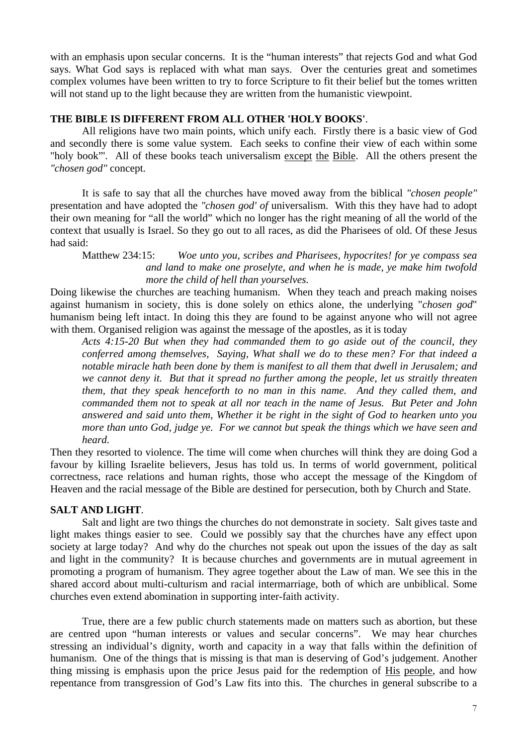with an emphasis upon secular concerns. It is the "human interests" that rejects God and what God says. What God says is replaced with what man says. Over the centuries great and sometimes complex volumes have been written to try to force Scripture to fit their belief but the tomes written will not stand up to the light because they are written from the humanistic viewpoint.

# **THE BIBLE IS DIFFERENT FROM ALL OTHER 'HOLY BOOKS'**.

 All religions have two main points, which unify each. Firstly there is a basic view of God and secondly there is some value system. Each seeks to confine their view of each within some "holy book"'. All of these books teach universalism except the Bible. All the others present the *"chosen god"* concept.

 It is safe to say that all the churches have moved away from the biblical *"chosen people"*  presentation and have adopted the *"chosen god' of* universalism. With this they have had to adopt their own meaning for "all the world" which no longer has the right meaning of all the world of the context that usually is Israel. So they go out to all races, as did the Pharisees of old. Of these Jesus had said:

Matthew 234:15: *Woe unto you, scribes and Pharisees, hypocrites! for ye compass sea and land to make one proselyte, and when he is made, ye make him twofold more the child of hell than yourselves.* 

Doing likewise the churches are teaching humanism. When they teach and preach making noises against humanism in society, this is done solely on ethics alone, the underlying "*chosen god*" humanism being left intact. In doing this they are found to be against anyone who will not agree with them. Organised religion was against the message of the apostles, as it is today

*Acts 4:15-20 But when they had commanded them to go aside out of the council, they conferred among themselves, Saying, What shall we do to these men? For that indeed a notable miracle hath been done by them is manifest to all them that dwell in Jerusalem; and we cannot deny it. But that it spread no further among the people, let us straitly threaten them, that they speak henceforth to no man in this name. And they called them, and commanded them not to speak at all nor teach in the name of Jesus. But Peter and John answered and said unto them, Whether it be right in the sight of God to hearken unto you more than unto God, judge ye. For we cannot but speak the things which we have seen and heard.* 

Then they resorted to violence. The time will come when churches will think they are doing God a favour by killing Israelite believers, Jesus has told us. In terms of world government, political correctness, race relations and human rights, those who accept the message of the Kingdom of Heaven and the racial message of the Bible are destined for persecution, both by Church and State.

# **SALT AND LIGHT**.

 Salt and light are two things the churches do not demonstrate in society. Salt gives taste and light makes things easier to see. Could we possibly say that the churches have any effect upon society at large today? And why do the churches not speak out upon the issues of the day as salt and light in the community? It is because churches and governments are in mutual agreement in promoting a program of humanism. They agree together about the Law of man. We see this in the shared accord about multi-culturism and racial intermarriage, both of which are unbiblical. Some churches even extend abomination in supporting inter-faith activity.

 True, there are a few public church statements made on matters such as abortion, but these are centred upon "human interests or values and secular concerns". We may hear churches stressing an individual's dignity, worth and capacity in a way that falls within the definition of humanism. One of the things that is missing is that man is deserving of God's judgement. Another thing missing is emphasis upon the price Jesus paid for the redemption of His people, and how repentance from transgression of God's Law fits into this. The churches in general subscribe to a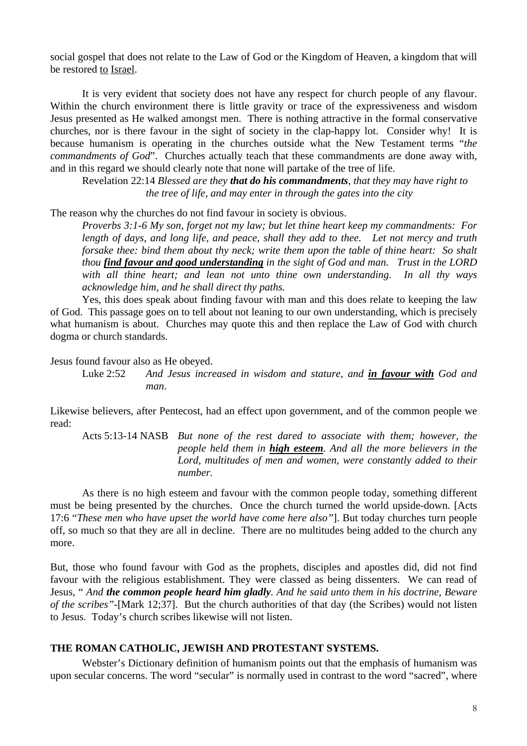social gospel that does not relate to the Law of God or the Kingdom of Heaven, a kingdom that will be restored to Israel.

 It is very evident that society does not have any respect for church people of any flavour. Within the church environment there is little gravity or trace of the expressiveness and wisdom Jesus presented as He walked amongst men. There is nothing attractive in the formal conservative churches, nor is there favour in the sight of society in the clap-happy lot. Consider why! It is because humanism is operating in the churches outside what the New Testament terms "*the commandments of God*". Churches actually teach that these commandments are done away with, and in this regard we should clearly note that none will partake of the tree of life.

Revelation 22:14 *Blessed are they that do his commandments, that they may have right to the tree of life, and may enter in through the gates into the city* 

The reason why the churches do not find favour in society is obvious.

*Proverbs 3:1-6 My son, forget not my law; but let thine heart keep my commandments: For length of days, and long life, and peace, shall they add to thee. Let not mercy and truth forsake thee: bind them about thy neck; write them upon the table of thine heart: So shalt thou find favour and good understanding in the sight of God and man. Trust in the LORD with all thine heart; and lean not unto thine own understanding. In all thy ways acknowledge him, and he shall direct thy paths.* 

 Yes, this does speak about finding favour with man and this does relate to keeping the law of God. This passage goes on to tell about not leaning to our own understanding, which is precisely what humanism is about. Churches may quote this and then replace the Law of God with church dogma or church standards.

Jesus found favour also as He obeyed.

Luke 2:52 *And Jesus increased in wisdom and stature, and in favour with God and man*.

Likewise believers, after Pentecost, had an effect upon government, and of the common people we read:

Acts 5:13-14 NASB *But none of the rest dared to associate with them; however, the people held them in high esteem. And all the more believers in the Lord, multitudes of men and women, were constantly added to their number.* 

 As there is no high esteem and favour with the common people today, something different must be being presented by the churches. Once the church turned the world upside-down. [Acts 17:6 "*These men who have upset the world have come here also"*]. But today churches turn people off, so much so that they are all in decline. There are no multitudes being added to the church any more.

But, those who found favour with God as the prophets, disciples and apostles did, did not find favour with the religious establishment. They were classed as being dissenters. We can read of Jesus, " *And the common people heard him gladly. And he said unto them in his doctrine, Beware of the scribes"*-[Mark 12;37]. But the church authorities of that day (the Scribes) would not listen to Jesus. Today's church scribes likewise will not listen.

## **THE ROMAN CATHOLIC, JEWISH AND PROTESTANT SYSTEMS.**

 Webster's Dictionary definition of humanism points out that the emphasis of humanism was upon secular concerns. The word "secular" is normally used in contrast to the word "sacred", where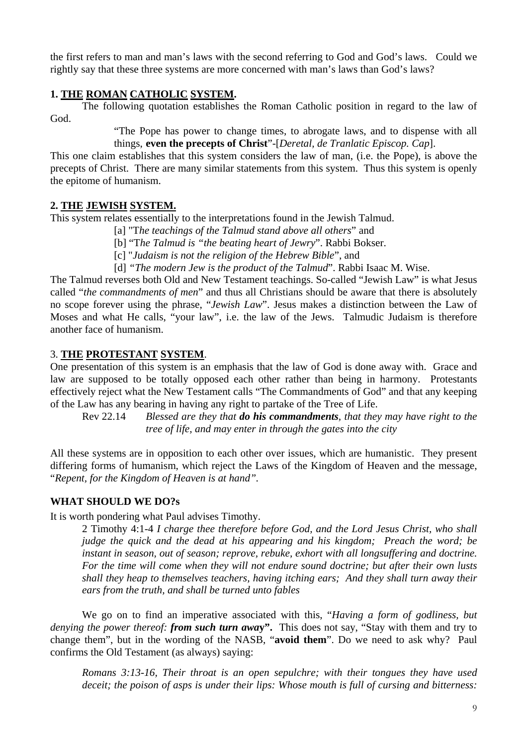the first refers to man and man's laws with the second referring to God and God's laws. Could we rightly say that these three systems are more concerned with man's laws than God's laws?

# **1. THE ROMAN CATHOLIC SYSTEM.**

 The following quotation establishes the Roman Catholic position in regard to the law of God.

> "The Pope has power to change times, to abrogate laws, and to dispense with all things, **even the precepts of Christ**"-[*Deretal, de Tranlatic Episcop. Cap*].

This one claim establishes that this system considers the law of man, (i.e. the Pope), is above the precepts of Christ. There are many similar statements from this system. Thus this system is openly the epitome of humanism.

# **2. THE JEWISH SYSTEM.**

This system relates essentially to the interpretations found in the Jewish Talmud.

- [a] "T*he teachings of the Talmud stand above all others*" and
- [b] "T*he Talmud is "the beating heart of Jewry*". Rabbi Bokser.
- [c] "*Judaism is not the religion of the Hebrew Bible*", and
- [d] *"The modern Jew is the product of the Talmud*". Rabbi Isaac M. Wise.

The Talmud reverses both Old and New Testament teachings. So-called "Jewish Law" is what Jesus called "*the commandments of men*" and thus all Christians should be aware that there is absolutely no scope forever using the phrase, "*Jewish Law*". Jesus makes a distinction between the Law of Moses and what He calls, "your law", i.e. the law of the Jews. Talmudic Judaism is therefore another face of humanism.

# 3. **THE PROTESTANT SYSTEM**.

One presentation of this system is an emphasis that the law of God is done away with. Grace and law are supposed to be totally opposed each other rather than being in harmony. Protestants effectively reject what the New Testament calls "The Commandments of God" and that any keeping of the Law has any bearing in having any right to partake of the Tree of Life.

Rev 22.14 *Blessed are they that do his commandments, that they may have right to the tree of life, and may enter in through the gates into the city* 

All these systems are in opposition to each other over issues, which are humanistic. They present differing forms of humanism, which reject the Laws of the Kingdom of Heaven and the message, "*Repent, for the Kingdom of Heaven is at hand".*

## **WHAT SHOULD WE DO?s**

It is worth pondering what Paul advises Timothy.

2 Timothy 4:1-4 *I charge thee therefore before God, and the Lord Jesus Christ, who shall judge the quick and the dead at his appearing and his kingdom; Preach the word; be instant in season, out of season; reprove, rebuke, exhort with all longsuffering and doctrine. For the time will come when they will not endure sound doctrine; but after their own lusts shall they heap to themselves teachers, having itching ears; And they shall turn away their ears from the truth, and shall be turned unto fables* 

 We go on to find an imperative associated with this, "*Having a form of godliness, but denying the power thereof: from such turn awa***y".** This does not say, "Stay with them and try to change them", but in the wording of the NASB, "**avoid them**". Do we need to ask why? Paul confirms the Old Testament (as always) saying:

*Romans 3:13-16, Their throat is an open sepulchre; with their tongues they have used deceit; the poison of asps is under their lips: Whose mouth is full of cursing and bitterness:*